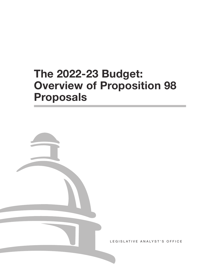# **The 2022-23 Budget: Overview of Proposition 98 Proposals**



LEGISLATIVE ANALYST'S OFFICE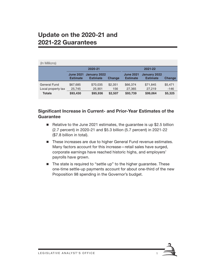### **Update on the 2020-21 and 2021-22 Guarantees**

| (In Millions)       |                                     |                                 |               |                                     |                                 |               |
|---------------------|-------------------------------------|---------------------------------|---------------|-------------------------------------|---------------------------------|---------------|
|                     | 2020-21                             |                                 |               | 2021-22                             |                                 |               |
|                     | <b>June 2021</b><br><b>Estimate</b> | January 2022<br><b>Estimate</b> | <b>Change</b> | <b>June 2021</b><br><b>Estimate</b> | January 2022<br><b>Estimate</b> | <b>Change</b> |
| <b>General Fund</b> | \$67,685                            | \$70,035                        | \$2.351       | \$66,374                            | \$71,845                        | \$5,471       |
| Local property tax  | 25,745                              | 25,901                          | 156           | 27,365                              | 27,219                          | $-146$        |
| <b>Totals</b>       | \$93,430                            | \$95,936                        | \$2,507       | \$93,739                            | \$99,064                        | \$5,325       |

#### **Significant Increase in Current- and Prior-Year Estimates of the Guarantee**

- Relative to the June 2021 estimates, the guarantee is up \$2.5 billion (2.7 percent) in 2020-21 and \$5.3 billion (5.7 percent) in 2021-22 (\$7.8 billion in total).
- These increases are due to higher General Fund revenue estimates. Many factors account for this increase—retail sales have surged, corporate earnings have reached historic highs, and employers' payrolls have grown.
- The state is required to "settle up" to the higher quarantee. These one-time settle-up payments account for about one-third of the new Proposition 98 spending in the Governor's budget.

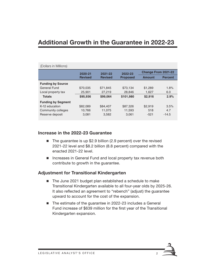### **Additional Growth in the Guarantee in 2022-23**

| (Dollars in Millions)     |                |                           |                            |                            |                |  |  |  |
|---------------------------|----------------|---------------------------|----------------------------|----------------------------|----------------|--|--|--|
|                           | 2020-21        | 2021-22<br><b>Revised</b> | 2022-23<br><b>Proposed</b> | <b>Change From 2021-22</b> |                |  |  |  |
|                           | <b>Revised</b> |                           |                            | Amount                     | <b>Percent</b> |  |  |  |
| <b>Funding by Source</b>  |                |                           |                            |                            |                |  |  |  |
| General Fund              | \$70,035       | \$71.845                  | \$73.134                   | \$1,289                    | 1.8%           |  |  |  |
| Local property tax        | 25,901         | 27,219                    | 28,846                     | 1,627                      | 6.0            |  |  |  |
| <b>Totals</b>             | \$95,936       | \$99,064                  | \$101,980                  | \$2,916                    | 2.9%           |  |  |  |
| <b>Funding by Segment</b> |                |                           |                            |                            |                |  |  |  |
| K-12 education            | \$82,089       | \$84,407                  | \$87.326                   | \$2.919                    | 3.5%           |  |  |  |
| Community colleges        | 10,766         | 11.075                    | 11,593                     | 518                        | 4.7            |  |  |  |
| Reserve deposit           | 3,081          | 3,582                     | 3.061                      | $-521$                     | $-14.5$        |  |  |  |

#### **Increase in the 2022-23 Guarantee**

- The guarantee is up \$2.9 billion (2.9 percent) over the revised 2021-22 level and \$8.2 billion (8.8 percent) compared with the enacted 2021-22 level.
- **Increases in General Fund and local property tax revenue both** contribute to growth in the guarantee.

#### **Adjustment for Transitional Kindergarten**

- The June 2021 budget plan established a schedule to make Transitional Kindergarten available to all four-year olds by 2025-26. It also reflected an agreement to "rebench" (adjust) the guarantee upward to account for the cost of the expansion.
- The estimate of the guarantee in 2022-23 includes a General Fund increase of \$639 million for the first year of the Transitional Kindergarten expansion.

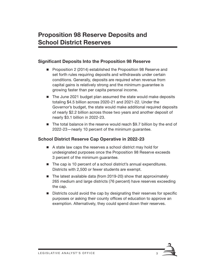#### **Significant Deposits Into the Proposition 98 Reserve**

- **Proposition 2 (2014) established the Proposition 98 Reserve and** set forth rules requiring deposits and withdrawals under certain conditions. Generally, deposits are required when revenue from capital gains is relatively strong and the minimum guarantee is growing faster than per capita personal income.
- The June 2021 budget plan assumed the state would make deposits totaling \$4.5 billion across 2020-21 and 2021-22. Under the Governor's budget, the state would make additional required deposits of nearly \$2.2 billion across those two years and another deposit of nearly \$3.1 billion in 2022-23.
- The total balance in the reserve would reach \$9.7 billion by the end of 2022-23—nearly 10 percent of the minimum guarantee.

### **School District Reserve Cap Operative in 2022-23**

- A state law caps the reserves a school district may hold for undesignated purposes once the Proposition 98 Reserve exceeds 3 percent of the minimum guarantee.
- The cap is 10 percent of a school district's annual expenditures. Districts with 2,500 or fewer students are exempt.
- The latest available data (from 2019-20) show that approximately 265 medium and large districts (76 percent) have reserves exceeding the cap.
- Districts could avoid the cap by designating their reserves for specific purposes or asking their county offices of education to approve an exemption. Alternatively, they could spend down their reserves.

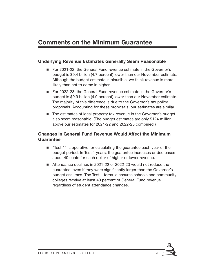### **Comments on the Minimum Guarantee**

#### **Underlying Revenue Estimates Generally Seem Reasonable**

- For 2021-22, the General Fund revenue estimate in the Governor's budget is \$9.4 billion (4.7 percent) lower than our November estimate. Although the budget estimate is plausible, we think revenue is more likely than not to come in higher.
- For 2022-23, the General Fund revenue estimate in the Governor's budget is \$9.9 billion (4.9 percent) lower than our November estimate. The majority of this difference is due to the Governor's tax policy proposals. Accounting for these proposals, our estimates are similar.
- The estimates of local property tax revenue in the Governor's budget also seem reasonable. (The budget estimates are only \$124 million above our estimates for 2021-22 and 2022-23 combined.)

#### **Changes in General Fund Revenue Would Affect the Minimum Guarantee**

- "Test 1" is operative for calculating the guarantee each year of the budget period. In Test 1 years, the guarantee increases or decreases about 40 cents for each dollar of higher or lower revenue.
- Attendance declines in 2021-22 or 2022-23 would not reduce the guarantee, even if they were significantly larger than the Governor's budget assumes. The Test 1 formula ensures schools and community colleges receive at least 40 percent of General Fund revenue regardless of student attendance changes.

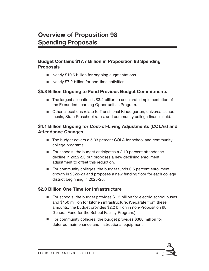#### **Budget Contains \$17.7 Billion in Proposition 98 Spending Proposals**

- Nearly \$10.6 billion for ongoing augmentations.
- Nearly \$7.2 billion for one-time activities.

#### **\$5.3 Billion Ongoing to Fund Previous Budget Commitments**

- The largest allocation is \$3.4 billion to accelerate implementation of the Expanded Learning Opportunities Program.
- Other allocations relate to Transitional Kindergarten, universal school meals, State Preschool rates, and community college financial aid.

#### **\$4.1 Billion Ongoing for Cost-of-Living Adjustments (COLAs) and Attendance Changes**

- The budget covers a 5.33 percent COLA for school and community college programs.
- For schools, the budget anticipates a 2.19 percent attendance decline in 2022-23 but proposes a new declining enrollment adjustment to offset this reduction.
- For community colleges, the budget funds 0.5 percent enrollment growth in 2022-23 and proposes a new funding floor for each college district beginning in 2025-26.

#### **\$2.3 Billion One Time for Infrastructure**

- For schools, the budget provides \$1.5 billion for electric school buses and \$450 million for kitchen infrastructure. (Separate from these amounts, the budget provides \$2.2 billion in non-Proposition 98 General Fund for the School Facility Program.)
- For community colleges, the budget provides \$388 million for deferred maintenance and instructional equipment.

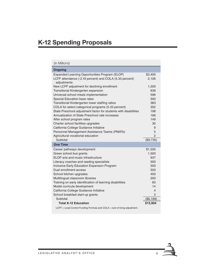### **K-12 Spending Proposals**

#### (In Millions) **Ongoing** Expanded Learning Opportunities Program (ELOP) \$3,400 LCFF attendance (-2.19 percent) and COLA (5.33 percent) adjustments 2,106 New LCFF adjustment for declining enrollment 1,200 Transitional Kindergarten expansion 639 million 639 Universal school meals implementation 696 Special Education base rates 500 Transitional Kindergarten lower staffing ratios 383 COLA for select categorical programs (5.33 percent) 352 State Preschool adjustment factor for students with disabilities 198 Annualization of State Preschool rate increases 166 After school program rates 149 Charter school facilities upgrades 30 California College Guidance Initiative **9** and 2011 19 and 30 and 30 and 30 and 30 and 30 and 30 and 30 and 30 and 30 and 30 and 30 and 30 and 30 and 30 and 30 and 30 and 30 and 30 and 30 and 30 and 30 and 30 and 30 and 30 Personnel Management Assistance Teams (PMATs) 35 5 Agricultural vocational education **2** and 2 Subtotal (\$9,735) **One Time** Career pathways development \$1,500 Green school bus grants 1,500 ELOP arts and music infrastructure example of the state of the 937 Literacy coaches and reading specialists 500 Inclusive Early Education Expansion Program 600 Dual enrollment access 500 School kitchen upgrades 450 Multilingual classroom libraries 200 Training on early identification of learning disabilities 60 Model curricula development and the control of the control of the control of the control of the control of the control of the control of the control of the control of the control of the control of the control of the contro California College Guidance Initiative 4 School breakfast start-up grants 3 Subtotal (\$6,169)  **Total K-12 Education 515,904** LCFF = Local Control Funding Formula and COLA = cost of living adjustment.

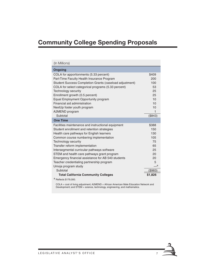## **Community College Spending Proposals**

| (In Millions)                                           |         |  |
|---------------------------------------------------------|---------|--|
| <b>Ongoing</b>                                          |         |  |
| COLA for apportionments (5.33 percent)                  | \$409   |  |
| Part-Time Faculty Health Insurance Program              | 200     |  |
| Student Success Completion Grants (caseload adjustment) | 100     |  |
| COLA for select categorical programs (5.33 percent)     | 53      |  |
| Technology security                                     | 25      |  |
| Enrollment growth (0.5 percent)                         | 25      |  |
| Equal Employment Opportunity program                    | 10      |  |
| Financial aid administration                            | 10      |  |
| NextUp foster youth program                             | 10      |  |
| A2MEND program                                          | 1       |  |
| Subtotal                                                | (\$843) |  |
| <b>One Time</b>                                         |         |  |
| Facilities maintenance and instructional equipment      | \$388   |  |
| Student enrollment and retention strategies             | 150     |  |
| Health care pathways for English learners               | 130     |  |
| Common course numbering implementation                  | 105     |  |
| Technology security                                     | 75      |  |
| Transfer reform implementation                          | 65      |  |
| Intersegmental curricular pathways software             | 25      |  |
| STEM and health care pathways grant program             | 20      |  |
| Emergency financial assistance for AB 540 students      | 20      |  |
| Teacher credentialing partnership program               | 5       |  |
| Umoja program study                                     | __a     |  |
| Subtotal                                                | (\$983) |  |
| <b>Total California Community Colleges</b>              |         |  |
| a Reflects \$179,000.                                   |         |  |

COLA = cost of living adjustment; A2MEND = African American Male Education Network and Development; and STEM = science, technology, engineering, and mathematics.

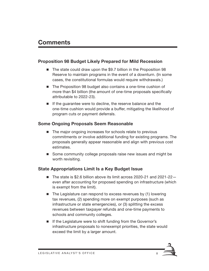### **Comments**

#### **Proposition 98 Budget Likely Prepared for Mild Recession**

- The state could draw upon the \$9.7 billion in the Proposition 98 Reserve to maintain programs in the event of a downturn. (In some cases, the constitutional formulas would require withdrawals.)
- The Proposition 98 budget also contains a one-time cushion of more than \$4 billion (the amount of one-time proposals specifically attributable to 2022-23).
- $\blacksquare$  If the guarantee were to decline, the reserve balance and the one-time cushion would provide a buffer, mitigating the likelihood of program cuts or payment deferrals.

#### **Some Ongoing Proposals Seem Reasonable**

- The major ongoing increases for schools relate to previous commitments or involve additional funding for existing programs. The proposals generally appear reasonable and align with previous cost estimates.
- Some community college proposals raise new issues and might be worth revisiting.

#### **State Appropriations Limit Is a Key Budget Issue**

- The state is \$2.6 billion above its limit across 2020-21 and 2021-22even after accounting for proposed spending on infrastructure (which is exempt from the limit).
- $\blacksquare$  The Legislature can respond to excess revenues by (1) lowering tax revenues, (2) spending more on exempt purposes (such as infrastructure or state emergencies), or (3) splitting the excess revenues between taxpayer refunds and one-time payments to schools and community colleges.
- If the Legislature were to shift funding from the Governor's infrastructure proposals to nonexempt priorities, the state would exceed the limit by a larger amount.